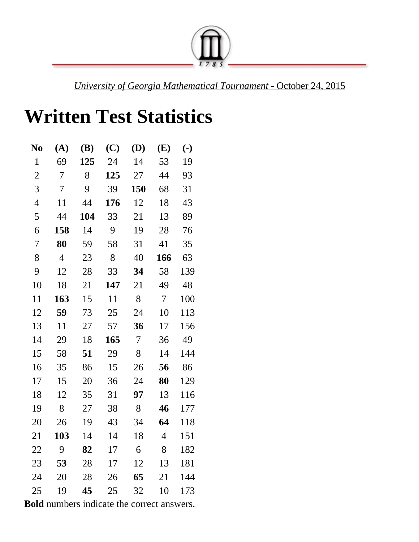

*University of Georgia Mathematical Tournament* October 24, 2015

## **Written Test Statistics**

| N <sub>0</sub>           | (A)            | (B) | (C) | (D)            | (E)             | $(\cdot)$ |
|--------------------------|----------------|-----|-----|----------------|-----------------|-----------|
| $\mathbf{1}$             | 69             | 125 | 24  | 14             | 53              | 19        |
| $\overline{2}$           | 7              | 8   | 125 | 27             | 44              | 93        |
| 3                        | $\overline{7}$ | 9   | 39  | 150            | 68              | 31        |
| $\overline{\mathcal{A}}$ | 11             | 44  | 176 | 12             | 18              | 43        |
| 5                        | 44             | 104 | 33  | 21             | 13              | 89        |
| 6                        | 158            | 14  | 9   | 19             | 28              | 76        |
| 7                        | 80             | 59  | 58  | 31             | 41              | 35        |
| 8                        | $\overline{4}$ | 23  | 8   | 40             | 166             | 63        |
| 9                        | 12             | 28  | 33  | 34             | 58              | 139       |
| 10                       | 18             | 21  | 147 | 21             | 49              | 48        |
| 11                       | 163            | 15  | 11  | 8              | $7\overline{ }$ | 100       |
| 12                       | 59             | 73  | 25  | 24             | 10              | 113       |
| 13                       | 11             | 27  | 57  | 36             | 17              | 156       |
| 14                       | 29             | 18  | 165 | $\overline{7}$ | 36              | 49        |
| 15                       | 58             | 51  | 29  | 8              | 14              | 144       |
| 16                       | 35             | 86  | 15  | 26             | 56              | 86        |
| 17                       | 15             | 20  | 36  | 24             | 80              | 129       |
| 18                       | 12             | 35  | 31  | 97             | 13              | 116       |
| 19                       | 8              | 27  | 38  | 8              | 46              | 177       |
| 20                       | 26             | 19  | 43  | 34             | 64              | 118       |
| 21                       | 103            | 14  | 14  | 18             | $\overline{4}$  | 151       |
| 22                       | 9              | 82  | 17  | 6              | 8               | 182       |
| 23                       | 53             | 28  | 17  | 12             | 13              | 181       |
| 24                       | 20             | 28  | 26  | 65             | 21              | 144       |
| 25                       | 19             | 45  | 25  | 32             | 10              | 173       |

**Bold** numbers indicate the correct answers.